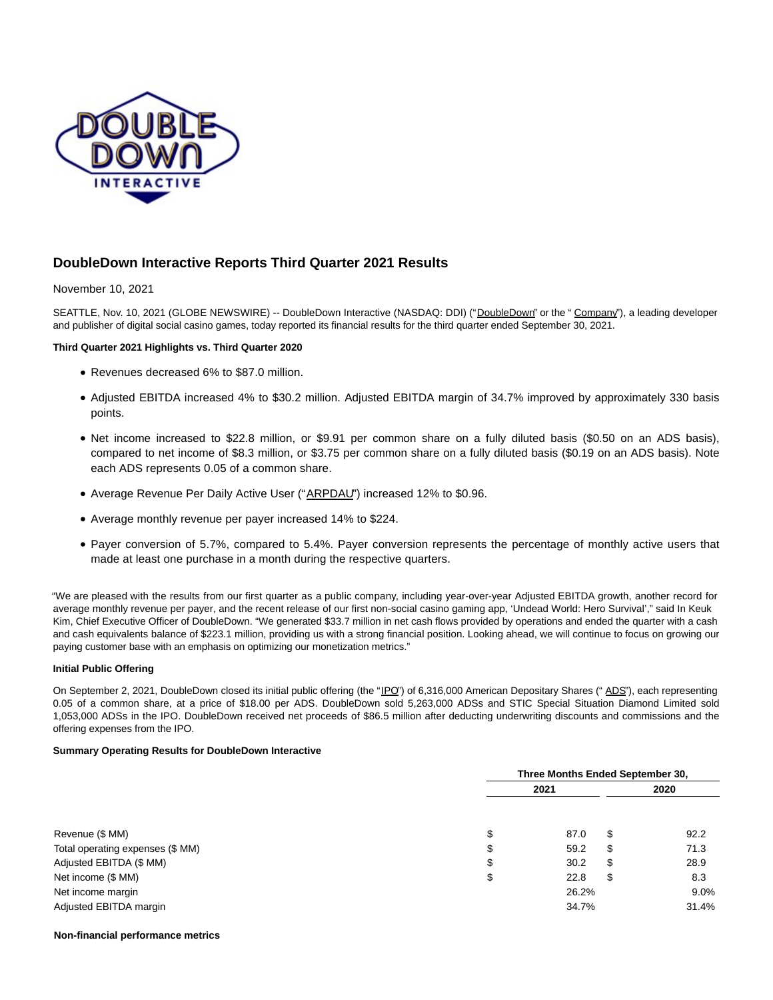

# **DoubleDown Interactive Reports Third Quarter 2021 Results**

# November 10, 2021

SEATTLE, Nov. 10, 2021 (GLOBE NEWSWIRE) -- DoubleDown Interactive (NASDAQ: DDI) ("DoubleDown" or the "Company"), a leading developer and publisher of digital social casino games, today reported its financial results for the third quarter ended September 30, 2021.

# **Third Quarter 2021 Highlights vs. Third Quarter 2020**

- Revenues decreased 6% to \$87.0 million.
- Adjusted EBITDA increased 4% to \$30.2 million. Adjusted EBITDA margin of 34.7% improved by approximately 330 basis points.
- Net income increased to \$22.8 million, or \$9.91 per common share on a fully diluted basis (\$0.50 on an ADS basis), compared to net income of \$8.3 million, or \$3.75 per common share on a fully diluted basis (\$0.19 on an ADS basis). Note each ADS represents 0.05 of a common share.
- Average Revenue Per Daily Active User ("ARPDAU") increased 12% to \$0.96.
- Average monthly revenue per payer increased 14% to \$224.
- Payer conversion of 5.7%, compared to 5.4%. Payer conversion represents the percentage of monthly active users that made at least one purchase in a month during the respective quarters.

"We are pleased with the results from our first quarter as a public company, including year-over-year Adjusted EBITDA growth, another record for average monthly revenue per payer, and the recent release of our first non-social casino gaming app, 'Undead World: Hero Survival'," said In Keuk Kim, Chief Executive Officer of DoubleDown. "We generated \$33.7 million in net cash flows provided by operations and ended the quarter with a cash and cash equivalents balance of \$223.1 million, providing us with a strong financial position. Looking ahead, we will continue to focus on growing our paying customer base with an emphasis on optimizing our monetization metrics."

## **Initial Public Offering**

On September 2, 2021, DoubleDown closed its initial public offering (the "IPO") of 6,316,000 American Depositary Shares ("ADS"), each representing 0.05 of a common share, at a price of \$18.00 per ADS. DoubleDown sold 5,263,000 ADSs and STIC Special Situation Diamond Limited sold 1,053,000 ADSs in the IPO. DoubleDown received net proceeds of \$86.5 million after deducting underwriting discounts and commissions and the offering expenses from the IPO.

## **Summary Operating Results for DoubleDown Interactive**

|                                  |      | Three Months Ended September 30, |      |         |  |
|----------------------------------|------|----------------------------------|------|---------|--|
|                                  | 2021 |                                  | 2020 |         |  |
|                                  |      |                                  |      |         |  |
| Revenue (\$ MM)                  | \$   | 87.0                             | \$   | 92.2    |  |
| Total operating expenses (\$ MM) | \$   | 59.2                             | \$   | 71.3    |  |
| Adjusted EBITDA (\$ MM)          | \$   | 30.2                             | \$   | 28.9    |  |
| Net income (\$ MM)               | \$   | 22.8                             | \$   | 8.3     |  |
| Net income margin                |      | 26.2%                            |      | $9.0\%$ |  |
| Adjusted EBITDA margin           |      | 34.7%                            |      | 31.4%   |  |

#### **Non-financial performance metrics**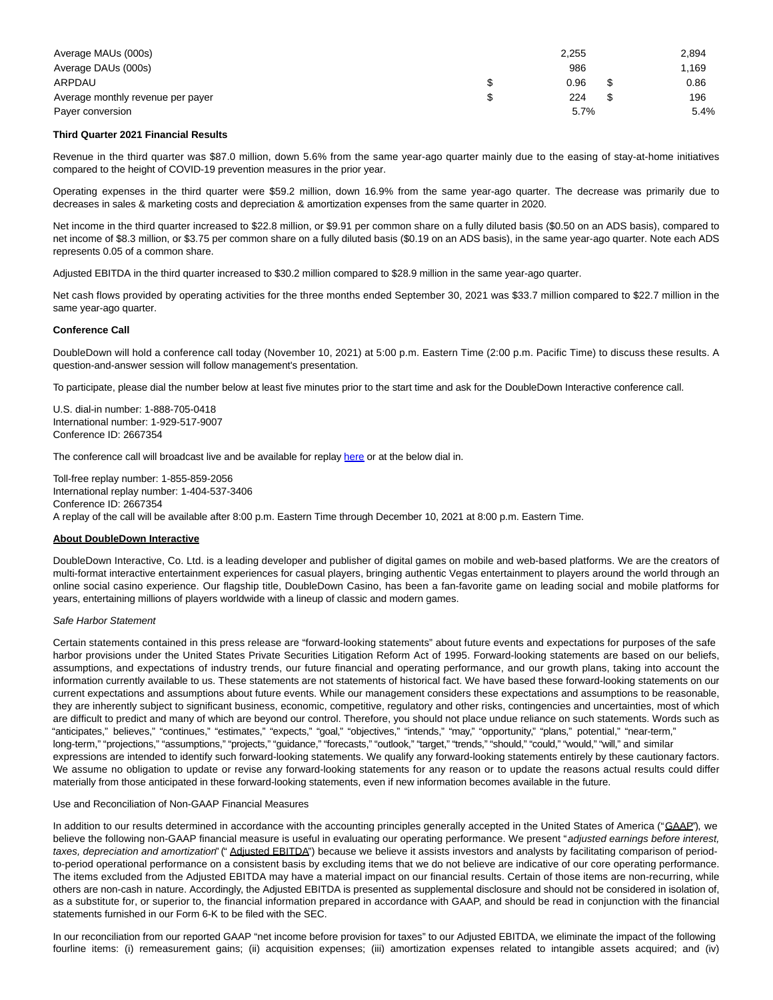| Average MAUs (000s)               | 2.255 | 2,894 |
|-----------------------------------|-------|-------|
| Average DAUs (000s)               | 986   | 1.169 |
| ARPDAU                            | 0.96  | 0.86  |
| Average monthly revenue per payer | 224   | 196   |
| Payer conversion                  | 5.7%  | 5.4%  |

## **Third Quarter 2021 Financial Results**

Revenue in the third quarter was \$87.0 million, down 5.6% from the same year-ago quarter mainly due to the easing of stay-at-home initiatives compared to the height of COVID-19 prevention measures in the prior year.

Operating expenses in the third quarter were \$59.2 million, down 16.9% from the same year-ago quarter. The decrease was primarily due to decreases in sales & marketing costs and depreciation & amortization expenses from the same quarter in 2020.

Net income in the third quarter increased to \$22.8 million, or \$9.91 per common share on a fully diluted basis (\$0.50 on an ADS basis), compared to net income of \$8.3 million, or \$3.75 per common share on a fully diluted basis (\$0.19 on an ADS basis), in the same year-ago quarter. Note each ADS represents 0.05 of a common share.

Adjusted EBITDA in the third quarter increased to \$30.2 million compared to \$28.9 million in the same year-ago quarter.

Net cash flows provided by operating activities for the three months ended September 30, 2021 was \$33.7 million compared to \$22.7 million in the same year-ago quarter.

#### **Conference Call**

DoubleDown will hold a conference call today (November 10, 2021) at 5:00 p.m. Eastern Time (2:00 p.m. Pacific Time) to discuss these results. A question-and-answer session will follow management's presentation.

To participate, please dial the number below at least five minutes prior to the start time and ask for the DoubleDown Interactive conference call.

U.S. dial-in number: 1-888-705-0418 International number: 1-929-517-9007 Conference ID: 2667354

The conference call will broadcast live and be available for replay [here o](https://www.globenewswire.com/Tracker?data=aJ7gCCyaXFyNZP0bZK-gS0b4r4mPXRt19IclrRhVWx7MP-HWKxh0OFnM6YMJVAJqyZjFoX8MVoHs7Vk2rHXNBDXgrqe8E6XjchjQW8mXaqY=)r at the below dial in.

Toll-free replay number: 1-855-859-2056 International replay number: 1-404-537-3406 Conference ID: 2667354 A replay of the call will be available after 8:00 p.m. Eastern Time through December 10, 2021 at 8:00 p.m. Eastern Time.

# **About DoubleDown Interactive**

DoubleDown Interactive, Co. Ltd. is a leading developer and publisher of digital games on mobile and web-based platforms. We are the creators of multi-format interactive entertainment experiences for casual players, bringing authentic Vegas entertainment to players around the world through an online social casino experience. Our flagship title, DoubleDown Casino, has been a fan-favorite game on leading social and mobile platforms for years, entertaining millions of players worldwide with a lineup of classic and modern games.

#### Safe Harbor Statement

Certain statements contained in this press release are "forward-looking statements" about future events and expectations for purposes of the safe harbor provisions under the United States Private Securities Litigation Reform Act of 1995. Forward-looking statements are based on our beliefs, assumptions, and expectations of industry trends, our future financial and operating performance, and our growth plans, taking into account the information currently available to us. These statements are not statements of historical fact. We have based these forward-looking statements on our current expectations and assumptions about future events. While our management considers these expectations and assumptions to be reasonable, they are inherently subject to significant business, economic, competitive, regulatory and other risks, contingencies and uncertainties, most of which are difficult to predict and many of which are beyond our control. Therefore, you should not place undue reliance on such statements. Words such as "anticipates," believes," "continues," "estimates," "expects," "goal," "objectives," "intends," "may," "opportunity," "plans," potential," "near-term," long-term," "projections," "assumptions," "projects," "guidance," "forecasts," "outlook," "target," "trends," "should," "could," "would," "will," and similar expressions are intended to identify such forward-looking statements. We qualify any forward-looking statements entirely by these cautionary factors. We assume no obligation to update or revise any forward-looking statements for any reason or to update the reasons actual results could differ materially from those anticipated in these forward-looking statements, even if new information becomes available in the future.

#### Use and Reconciliation of Non-GAAP Financial Measures

In addition to our results determined in accordance with the accounting principles generally accepted in the United States of America ("GAAP"), we believe the following non-GAAP financial measure is useful in evaluating our operating performance. We present "adjusted earnings before interest, taxes, depreciation and amortization" (" Adjusted EBITDA") because we believe it assists investors and analysts by facilitating comparison of periodto-period operational performance on a consistent basis by excluding items that we do not believe are indicative of our core operating performance. The items excluded from the Adjusted EBITDA may have a material impact on our financial results. Certain of those items are non-recurring, while others are non-cash in nature. Accordingly, the Adjusted EBITDA is presented as supplemental disclosure and should not be considered in isolation of, as a substitute for, or superior to, the financial information prepared in accordance with GAAP, and should be read in conjunction with the financial statements furnished in our Form 6-K to be filed with the SEC.

In our reconciliation from our reported GAAP "net income before provision for taxes" to our Adjusted EBITDA, we eliminate the impact of the following fourline items: (i) remeasurement gains; (ii) acquisition expenses; (iii) amortization expenses related to intangible assets acquired; and (iv)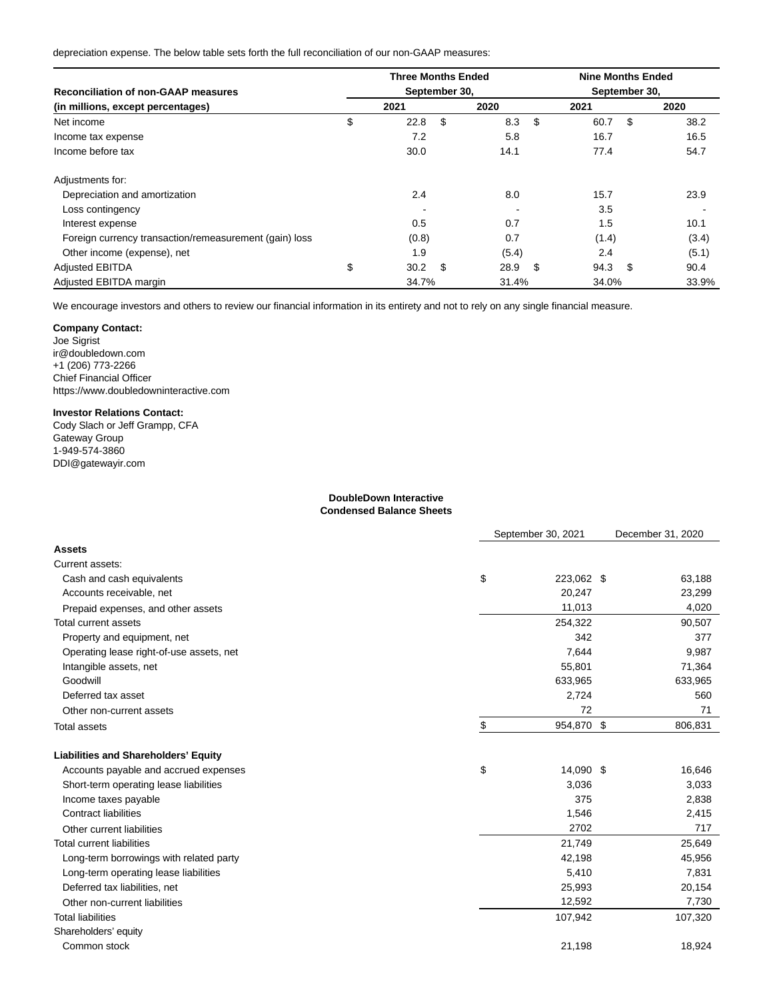depreciation expense. The below table sets forth the full reconciliation of our non-GAAP measures:

| <b>Reconciliation of non-GAAP measures</b>             |    | <b>Three Months Ended</b><br>September 30, |      |       |      | <b>Nine Months Ended</b> |      |       |  |
|--------------------------------------------------------|----|--------------------------------------------|------|-------|------|--------------------------|------|-------|--|
|                                                        |    |                                            |      |       |      | September 30,            |      |       |  |
| (in millions, except percentages)                      |    | 2021                                       |      | 2020  |      | 2021                     |      | 2020  |  |
| Net income                                             | \$ | 22.8                                       | \$   | 8.3   | - \$ | 60.7                     | \$   | 38.2  |  |
| Income tax expense                                     |    | 7.2                                        |      | 5.8   |      | 16.7                     |      | 16.5  |  |
| Income before tax                                      |    | 30.0                                       |      | 14.1  |      | 77.4                     |      | 54.7  |  |
| Adjustments for:                                       |    |                                            |      |       |      |                          |      |       |  |
| Depreciation and amortization                          |    | 2.4                                        |      | 8.0   |      | 15.7                     |      | 23.9  |  |
| Loss contingency                                       |    |                                            |      |       |      | 3.5                      |      |       |  |
| Interest expense                                       |    | 0.5                                        |      | 0.7   |      | 1.5                      |      | 10.1  |  |
| Foreign currency transaction/remeasurement (gain) loss |    | (0.8)                                      |      | 0.7   |      | (1.4)                    |      | (3.4) |  |
| Other income (expense), net                            |    | 1.9                                        |      | (5.4) |      | 2.4                      |      | (5.1) |  |
| <b>Adjusted EBITDA</b>                                 | \$ | 30.2                                       | - \$ | 28.9  | \$   | 94.3                     | - \$ | 90.4  |  |
| Adjusted EBITDA margin                                 |    | 34.7%                                      |      | 31.4% |      | 34.0%                    |      | 33.9% |  |

We encourage investors and others to review our financial information in its entirety and not to rely on any single financial measure.

# **Company Contact:**

Joe Sigrist ir@doubledown.com +1 (206) 773-2266 Chief Financial Officer https://www.doubledowninteractive.com

## **Investor Relations Contact:**

Cody Slach or Jeff Grampp, CFA Gateway Group 1-949-574-3860 DDI@gatewayir.com

#### **DoubleDown Interactive Condensed Balance Sheets**

|                                             | September 30, 2021 |            | December 31, 2020 |  |
|---------------------------------------------|--------------------|------------|-------------------|--|
| <b>Assets</b>                               |                    |            |                   |  |
| Current assets:                             |                    |            |                   |  |
| Cash and cash equivalents                   | \$                 | 223,062 \$ | 63,188            |  |
| Accounts receivable, net                    |                    | 20,247     | 23,299            |  |
| Prepaid expenses, and other assets          |                    | 11,013     | 4,020             |  |
| <b>Total current assets</b>                 |                    | 254,322    | 90,507            |  |
| Property and equipment, net                 |                    | 342        | 377               |  |
| Operating lease right-of-use assets, net    |                    | 7,644      | 9,987             |  |
| Intangible assets, net                      |                    | 55,801     | 71,364            |  |
| Goodwill                                    |                    | 633,965    | 633,965           |  |
| Deferred tax asset                          |                    | 2,724      | 560               |  |
| Other non-current assets                    |                    | 72         | 71                |  |
| Total assets                                | \$                 | 954,870 \$ | 806,831           |  |
| <b>Liabilities and Shareholders' Equity</b> |                    |            |                   |  |
| Accounts payable and accrued expenses       | \$                 | 14,090 \$  | 16,646            |  |
| Short-term operating lease liabilities      |                    | 3,036      | 3,033             |  |
| Income taxes payable                        |                    | 375        | 2,838             |  |
| <b>Contract liabilities</b>                 |                    | 1,546      | 2,415             |  |
| Other current liabilities                   |                    | 2702       | 717               |  |
| <b>Total current liabilities</b>            |                    | 21,749     | 25,649            |  |
| Long-term borrowings with related party     |                    | 42,198     | 45,956            |  |
| Long-term operating lease liabilities       |                    | 5,410      | 7,831             |  |
| Deferred tax liabilities, net               |                    | 25,993     | 20,154            |  |
| Other non-current liabilities               |                    | 12,592     | 7,730             |  |
| <b>Total liabilities</b>                    |                    | 107,942    | 107,320           |  |
| Shareholders' equity                        |                    |            |                   |  |
| Common stock                                |                    | 21,198     | 18,924            |  |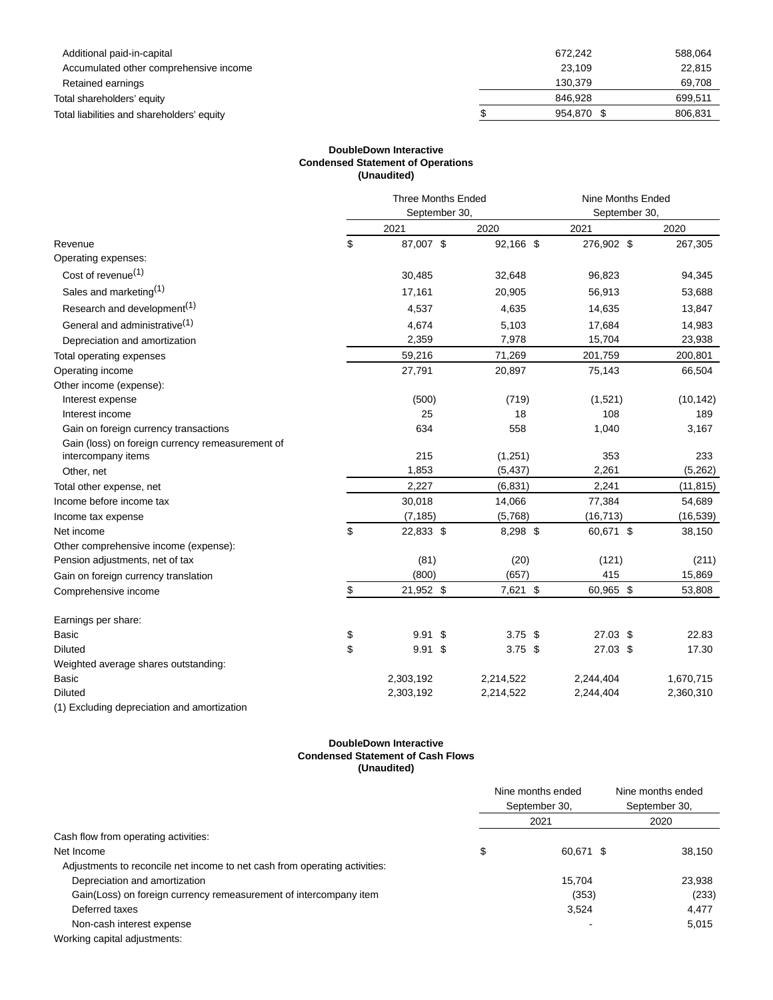| Additional paid-in-capital                 | 672.242    | 588,064 |
|--------------------------------------------|------------|---------|
| Accumulated other comprehensive income     | 23.109     | 22,815  |
| Retained earnings                          | 130.379    | 69.708  |
| Total shareholders' equity                 | 846.928    | 699.511 |
| Total liabilities and shareholders' equity | 954.870 \$ | 806.831 |
|                                            |            |         |

# **DoubleDown Interactive Condensed Statement of Operations (Unaudited)**

|                                                  | <b>Three Months Ended</b> |           |           | Nine Months Ended<br>September 30. |           |  |
|--------------------------------------------------|---------------------------|-----------|-----------|------------------------------------|-----------|--|
|                                                  | September 30,             |           |           |                                    |           |  |
|                                                  |                           | 2021      | 2020      | 2021                               | 2020      |  |
| Revenue                                          | \$                        | 87,007 \$ | 92,166 \$ | 276,902 \$                         | 267,305   |  |
| Operating expenses:                              |                           |           |           |                                    |           |  |
| Cost of revenue <sup>(1)</sup>                   |                           | 30,485    | 32,648    | 96,823                             | 94,345    |  |
| Sales and marketing <sup>(1)</sup>               |                           | 17,161    | 20,905    | 56,913                             | 53,688    |  |
| Research and development <sup>(1)</sup>          |                           | 4,537     | 4,635     | 14,635                             | 13,847    |  |
| General and administrative <sup>(1)</sup>        |                           | 4,674     | 5,103     | 17,684                             | 14,983    |  |
| Depreciation and amortization                    |                           | 2,359     | 7,978     | 15,704                             | 23,938    |  |
| Total operating expenses                         |                           | 59,216    | 71,269    | 201,759                            | 200,801   |  |
| Operating income                                 |                           | 27,791    | 20,897    | 75,143                             | 66,504    |  |
| Other income (expense):                          |                           |           |           |                                    |           |  |
| Interest expense                                 |                           | (500)     | (719)     | (1,521)                            | (10, 142) |  |
| Interest income                                  |                           | 25        | 18        | 108                                | 189       |  |
| Gain on foreign currency transactions            |                           | 634       | 558       | 1,040                              | 3,167     |  |
| Gain (loss) on foreign currency remeasurement of |                           |           |           |                                    |           |  |
| intercompany items                               |                           | 215       | (1,251)   | 353                                | 233       |  |
| Other, net                                       |                           | 1,853     | (5, 437)  | 2,261                              | (5,262)   |  |
| Total other expense, net                         |                           | 2,227     | (6, 831)  | 2,241                              | (11, 815) |  |
| Income before income tax                         |                           | 30,018    | 14,066    | 77,384                             | 54,689    |  |
| Income tax expense                               |                           | (7, 185)  | (5,768)   | (16, 713)                          | (16, 539) |  |
| Net income                                       | \$                        | 22,833 \$ | 8,298 \$  | 60,671 \$                          | 38,150    |  |
| Other comprehensive income (expense):            |                           |           |           |                                    |           |  |
| Pension adjustments, net of tax                  |                           | (81)      | (20)      | (121)                              | (211)     |  |
| Gain on foreign currency translation             |                           | (800)     | (657)     | 415                                | 15,869    |  |
| Comprehensive income                             | \$                        | 21,952 \$ | 7,621 \$  | 60,965 \$                          | 53,808    |  |
| Earnings per share:                              |                           |           |           |                                    |           |  |
| <b>Basic</b>                                     | \$                        | $9.91$ \$ | $3.75$ \$ | $27.03$ \$                         | 22.83     |  |
| <b>Diluted</b>                                   | \$                        | $9.91$ \$ | $3.75$ \$ | 27.03 \$                           | 17.30     |  |
| Weighted average shares outstanding:             |                           |           |           |                                    |           |  |
| <b>Basic</b>                                     |                           | 2,303,192 | 2,214,522 | 2,244,404                          | 1,670,715 |  |
| <b>Diluted</b>                                   |                           | 2,303,192 | 2,214,522 | 2,244,404                          | 2,360,310 |  |
| (1) Excluding depreciation and amortization      |                           |           |           |                                    |           |  |

## **DoubleDown Interactive Condensed Statement of Cash Flows (Unaudited)**

|                                                                            |               | Nine months ended | Nine months ended |  |
|----------------------------------------------------------------------------|---------------|-------------------|-------------------|--|
|                                                                            | September 30, |                   | September 30,     |  |
|                                                                            |               | 2021              | 2020              |  |
| Cash flow from operating activities:                                       |               |                   |                   |  |
| Net Income                                                                 | \$            | 60.671 \$         | 38,150            |  |
| Adjustments to reconcile net income to net cash from operating activities: |               |                   |                   |  |
| Depreciation and amortization                                              |               | 15.704            | 23,938            |  |
| Gain(Loss) on foreign currency remeasurement of intercompany item          |               | (353)             | (233)             |  |
| Deferred taxes                                                             |               | 3,524             | 4,477             |  |
| Non-cash interest expense                                                  |               |                   | 5,015             |  |
| Working capital adjustments:                                               |               |                   |                   |  |